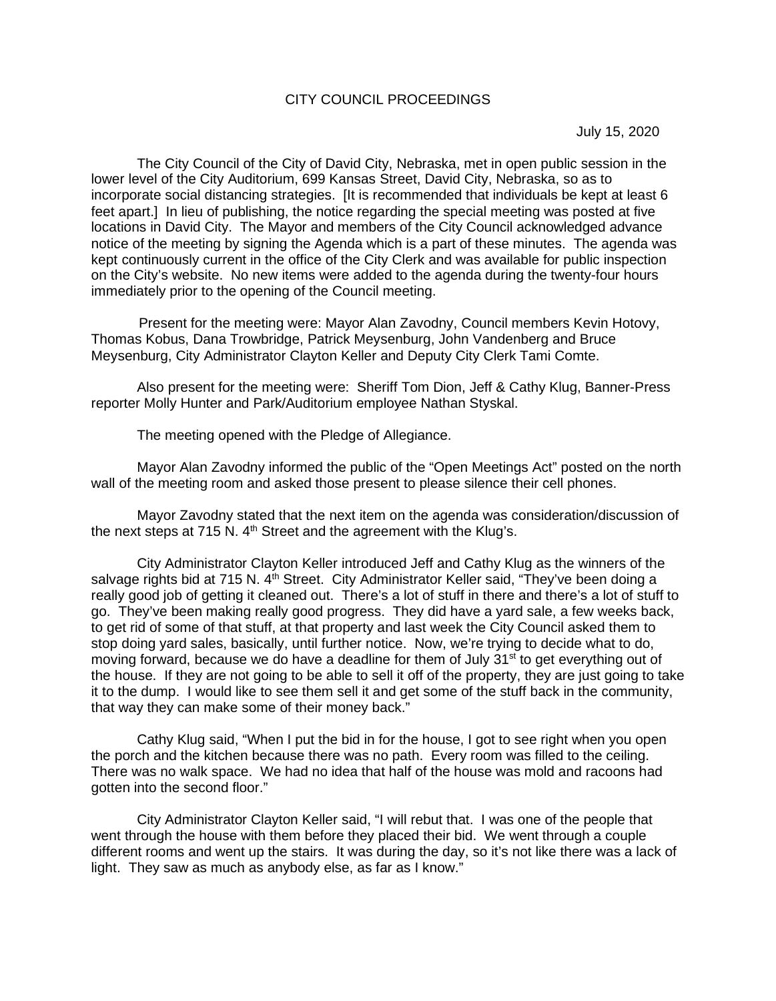## CITY COUNCIL PROCEEDINGS

July 15, 2020

The City Council of the City of David City, Nebraska, met in open public session in the lower level of the City Auditorium, 699 Kansas Street, David City, Nebraska, so as to incorporate social distancing strategies. [It is recommended that individuals be kept at least 6 feet apart.] In lieu of publishing, the notice regarding the special meeting was posted at five locations in David City. The Mayor and members of the City Council acknowledged advance notice of the meeting by signing the Agenda which is a part of these minutes. The agenda was kept continuously current in the office of the City Clerk and was available for public inspection on the City's website. No new items were added to the agenda during the twenty-four hours immediately prior to the opening of the Council meeting.

Present for the meeting were: Mayor Alan Zavodny, Council members Kevin Hotovy, Thomas Kobus, Dana Trowbridge, Patrick Meysenburg, John Vandenberg and Bruce Meysenburg, City Administrator Clayton Keller and Deputy City Clerk Tami Comte.

Also present for the meeting were: Sheriff Tom Dion, Jeff & Cathy Klug, Banner-Press reporter Molly Hunter and Park/Auditorium employee Nathan Styskal.

The meeting opened with the Pledge of Allegiance.

Mayor Alan Zavodny informed the public of the "Open Meetings Act" posted on the north wall of the meeting room and asked those present to please silence their cell phones.

Mayor Zavodny stated that the next item on the agenda was consideration/discussion of the next steps at 715 N. 4<sup>th</sup> Street and the agreement with the Klug's.

City Administrator Clayton Keller introduced Jeff and Cathy Klug as the winners of the salvage rights bid at 715 N.  $4<sup>th</sup>$  Street. City Administrator Keller said, "They've been doing a really good job of getting it cleaned out. There's a lot of stuff in there and there's a lot of stuff to go. They've been making really good progress. They did have a yard sale, a few weeks back, to get rid of some of that stuff, at that property and last week the City Council asked them to stop doing yard sales, basically, until further notice. Now, we're trying to decide what to do, moving forward, because we do have a deadline for them of July 31<sup>st</sup> to get everything out of the house. If they are not going to be able to sell it off of the property, they are just going to take it to the dump. I would like to see them sell it and get some of the stuff back in the community, that way they can make some of their money back."

Cathy Klug said, "When I put the bid in for the house, I got to see right when you open the porch and the kitchen because there was no path. Every room was filled to the ceiling. There was no walk space. We had no idea that half of the house was mold and racoons had gotten into the second floor."

City Administrator Clayton Keller said, "I will rebut that. I was one of the people that went through the house with them before they placed their bid. We went through a couple different rooms and went up the stairs. It was during the day, so it's not like there was a lack of light. They saw as much as anybody else, as far as I know."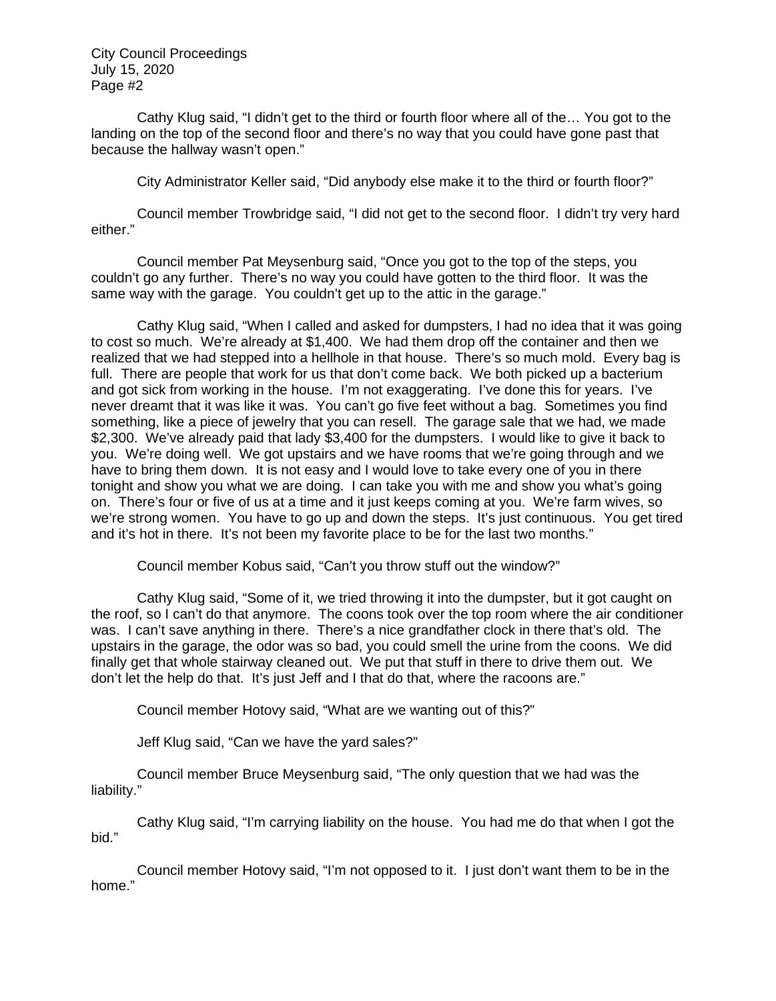Cathy Klug said, "I didn't get to the third or fourth floor where all of the… You got to the landing on the top of the second floor and there's no way that you could have gone past that because the hallway wasn't open."

City Administrator Keller said, "Did anybody else make it to the third or fourth floor?"

Council member Trowbridge said, "I did not get to the second floor. I didn't try very hard either."

Council member Pat Meysenburg said, "Once you got to the top of the steps, you couldn't go any further. There's no way you could have gotten to the third floor. It was the same way with the garage. You couldn't get up to the attic in the garage."

Cathy Klug said, "When I called and asked for dumpsters, I had no idea that it was going to cost so much. We're already at \$1,400. We had them drop off the container and then we realized that we had stepped into a hellhole in that house. There's so much mold. Every bag is full. There are people that work for us that don't come back. We both picked up a bacterium and got sick from working in the house. I'm not exaggerating. I've done this for years. I've never dreamt that it was like it was. You can't go five feet without a bag. Sometimes you find something, like a piece of jewelry that you can resell. The garage sale that we had, we made \$2,300. We've already paid that lady \$3,400 for the dumpsters. I would like to give it back to you. We're doing well. We got upstairs and we have rooms that we're going through and we have to bring them down. It is not easy and I would love to take every one of you in there tonight and show you what we are doing. I can take you with me and show you what's going on. There's four or five of us at a time and it just keeps coming at you. We're farm wives, so we're strong women. You have to go up and down the steps. It's just continuous. You get tired and it's hot in there. It's not been my favorite place to be for the last two months."

Council member Kobus said, "Can't you throw stuff out the window?"

Cathy Klug said, "Some of it, we tried throwing it into the dumpster, but it got caught on the roof, so I can't do that anymore. The coons took over the top room where the air conditioner was. I can't save anything in there. There's a nice grandfather clock in there that's old. The upstairs in the garage, the odor was so bad, you could smell the urine from the coons. We did finally get that whole stairway cleaned out. We put that stuff in there to drive them out. We don't let the help do that. It's just Jeff and I that do that, where the racoons are."

Council member Hotovy said, "What are we wanting out of this?"

Jeff Klug said, "Can we have the yard sales?"

Council member Bruce Meysenburg said, "The only question that we had was the liability."

Cathy Klug said, "I'm carrying liability on the house. You had me do that when I got the bid."

Council member Hotovy said, "I'm not opposed to it. I just don't want them to be in the home."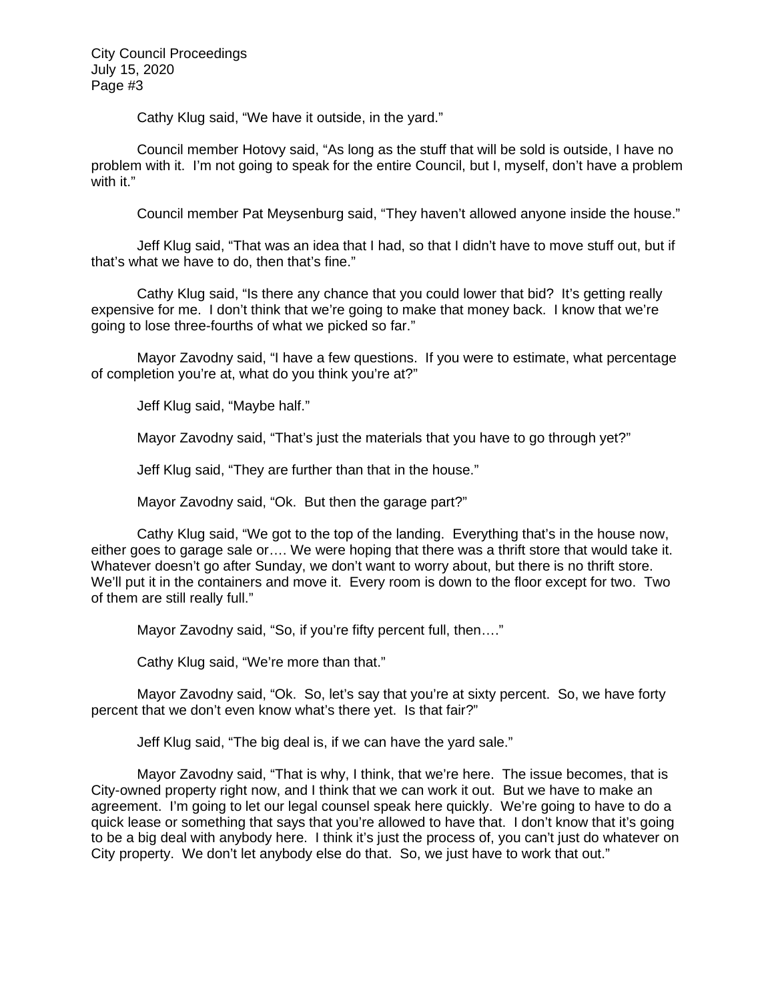Cathy Klug said, "We have it outside, in the yard."

Council member Hotovy said, "As long as the stuff that will be sold is outside, I have no problem with it. I'm not going to speak for the entire Council, but I, myself, don't have a problem with it."

Council member Pat Meysenburg said, "They haven't allowed anyone inside the house."

Jeff Klug said, "That was an idea that I had, so that I didn't have to move stuff out, but if that's what we have to do, then that's fine."

Cathy Klug said, "Is there any chance that you could lower that bid? It's getting really expensive for me. I don't think that we're going to make that money back. I know that we're going to lose three-fourths of what we picked so far."

Mayor Zavodny said, "I have a few questions. If you were to estimate, what percentage of completion you're at, what do you think you're at?"

Jeff Klug said, "Maybe half."

Mayor Zavodny said, "That's just the materials that you have to go through yet?"

Jeff Klug said, "They are further than that in the house."

Mayor Zavodny said, "Ok. But then the garage part?"

Cathy Klug said, "We got to the top of the landing. Everything that's in the house now, either goes to garage sale or…. We were hoping that there was a thrift store that would take it. Whatever doesn't go after Sunday, we don't want to worry about, but there is no thrift store. We'll put it in the containers and move it. Every room is down to the floor except for two. Two of them are still really full."

Mayor Zavodny said, "So, if you're fifty percent full, then…."

Cathy Klug said, "We're more than that."

Mayor Zavodny said, "Ok. So, let's say that you're at sixty percent. So, we have forty percent that we don't even know what's there yet. Is that fair?"

Jeff Klug said, "The big deal is, if we can have the yard sale."

Mayor Zavodny said, "That is why, I think, that we're here. The issue becomes, that is City-owned property right now, and I think that we can work it out. But we have to make an agreement. I'm going to let our legal counsel speak here quickly. We're going to have to do a quick lease or something that says that you're allowed to have that. I don't know that it's going to be a big deal with anybody here. I think it's just the process of, you can't just do whatever on City property. We don't let anybody else do that. So, we just have to work that out."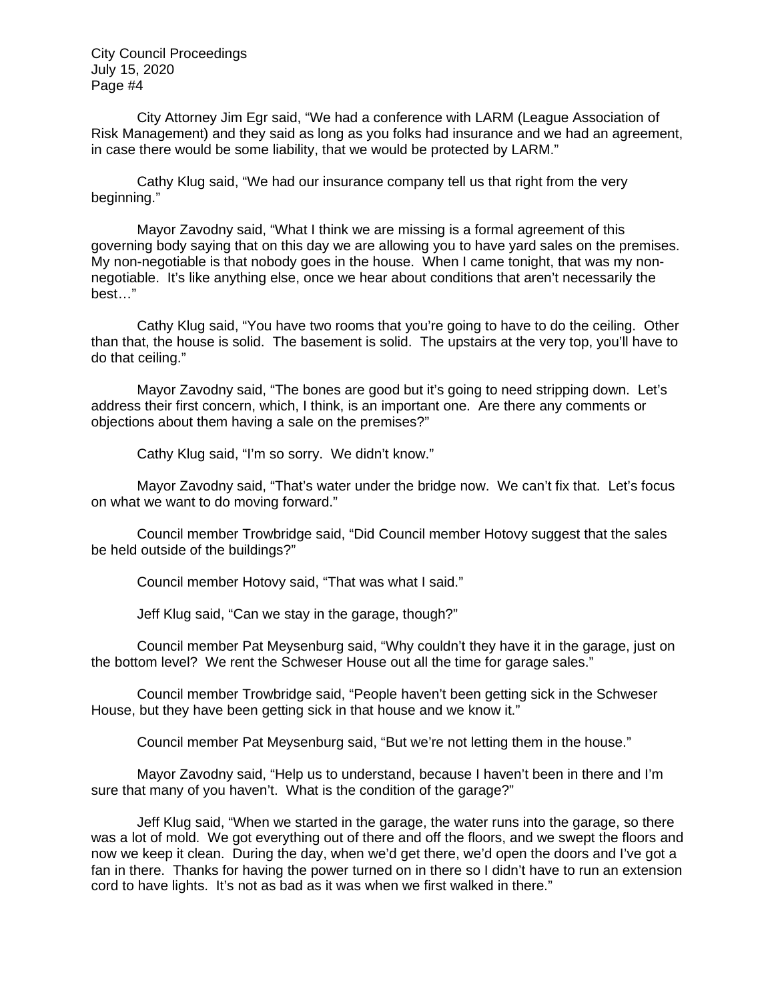City Attorney Jim Egr said, "We had a conference with LARM (League Association of Risk Management) and they said as long as you folks had insurance and we had an agreement, in case there would be some liability, that we would be protected by LARM."

Cathy Klug said, "We had our insurance company tell us that right from the very beginning."

Mayor Zavodny said, "What I think we are missing is a formal agreement of this governing body saying that on this day we are allowing you to have yard sales on the premises. My non-negotiable is that nobody goes in the house. When I came tonight, that was my nonnegotiable. It's like anything else, once we hear about conditions that aren't necessarily the best…"

Cathy Klug said, "You have two rooms that you're going to have to do the ceiling. Other than that, the house is solid. The basement is solid. The upstairs at the very top, you'll have to do that ceiling."

Mayor Zavodny said, "The bones are good but it's going to need stripping down. Let's address their first concern, which, I think, is an important one. Are there any comments or objections about them having a sale on the premises?"

Cathy Klug said, "I'm so sorry. We didn't know."

Mayor Zavodny said, "That's water under the bridge now. We can't fix that. Let's focus on what we want to do moving forward."

Council member Trowbridge said, "Did Council member Hotovy suggest that the sales be held outside of the buildings?"

Council member Hotovy said, "That was what I said."

Jeff Klug said, "Can we stay in the garage, though?"

Council member Pat Meysenburg said, "Why couldn't they have it in the garage, just on the bottom level? We rent the Schweser House out all the time for garage sales."

Council member Trowbridge said, "People haven't been getting sick in the Schweser House, but they have been getting sick in that house and we know it."

Council member Pat Meysenburg said, "But we're not letting them in the house."

Mayor Zavodny said, "Help us to understand, because I haven't been in there and I'm sure that many of you haven't. What is the condition of the garage?"

Jeff Klug said, "When we started in the garage, the water runs into the garage, so there was a lot of mold. We got everything out of there and off the floors, and we swept the floors and now we keep it clean. During the day, when we'd get there, we'd open the doors and I've got a fan in there. Thanks for having the power turned on in there so I didn't have to run an extension cord to have lights. It's not as bad as it was when we first walked in there."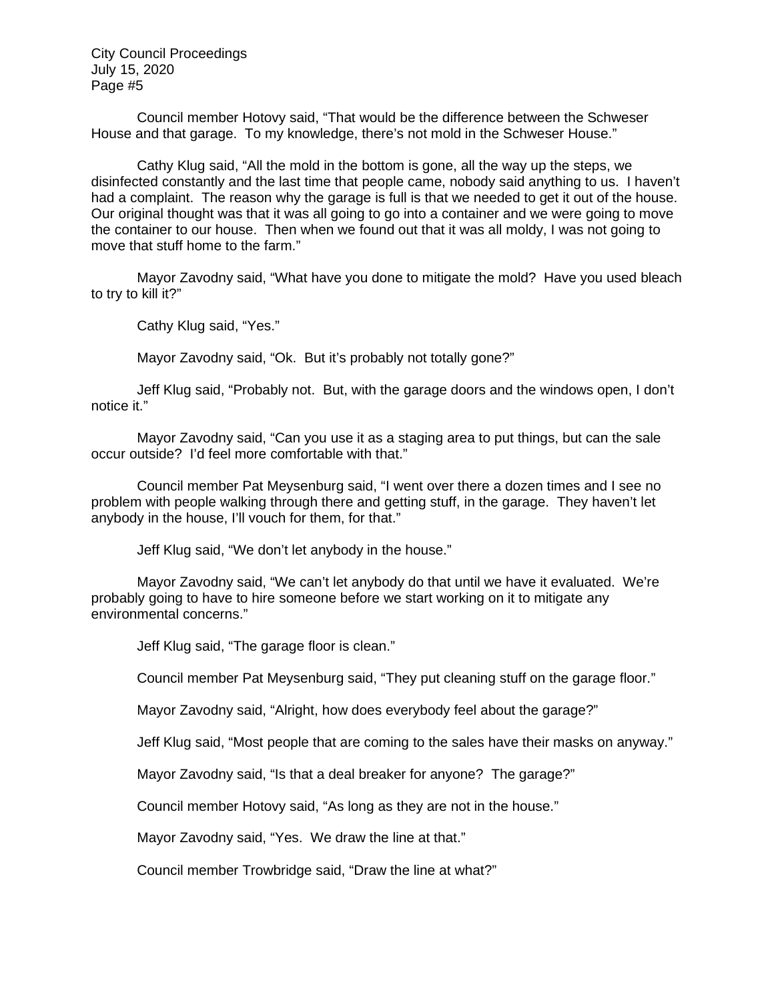Council member Hotovy said, "That would be the difference between the Schweser House and that garage. To my knowledge, there's not mold in the Schweser House."

Cathy Klug said, "All the mold in the bottom is gone, all the way up the steps, we disinfected constantly and the last time that people came, nobody said anything to us. I haven't had a complaint. The reason why the garage is full is that we needed to get it out of the house. Our original thought was that it was all going to go into a container and we were going to move the container to our house. Then when we found out that it was all moldy, I was not going to move that stuff home to the farm."

Mayor Zavodny said, "What have you done to mitigate the mold? Have you used bleach to try to kill it?"

Cathy Klug said, "Yes."

Mayor Zavodny said, "Ok. But it's probably not totally gone?"

Jeff Klug said, "Probably not. But, with the garage doors and the windows open, I don't notice it."

Mayor Zavodny said, "Can you use it as a staging area to put things, but can the sale occur outside? I'd feel more comfortable with that."

Council member Pat Meysenburg said, "I went over there a dozen times and I see no problem with people walking through there and getting stuff, in the garage. They haven't let anybody in the house, I'll vouch for them, for that."

Jeff Klug said, "We don't let anybody in the house."

Mayor Zavodny said, "We can't let anybody do that until we have it evaluated. We're probably going to have to hire someone before we start working on it to mitigate any environmental concerns."

Jeff Klug said, "The garage floor is clean."

Council member Pat Meysenburg said, "They put cleaning stuff on the garage floor."

Mayor Zavodny said, "Alright, how does everybody feel about the garage?"

Jeff Klug said, "Most people that are coming to the sales have their masks on anyway."

Mayor Zavodny said, "Is that a deal breaker for anyone? The garage?"

Council member Hotovy said, "As long as they are not in the house."

Mayor Zavodny said, "Yes. We draw the line at that."

Council member Trowbridge said, "Draw the line at what?"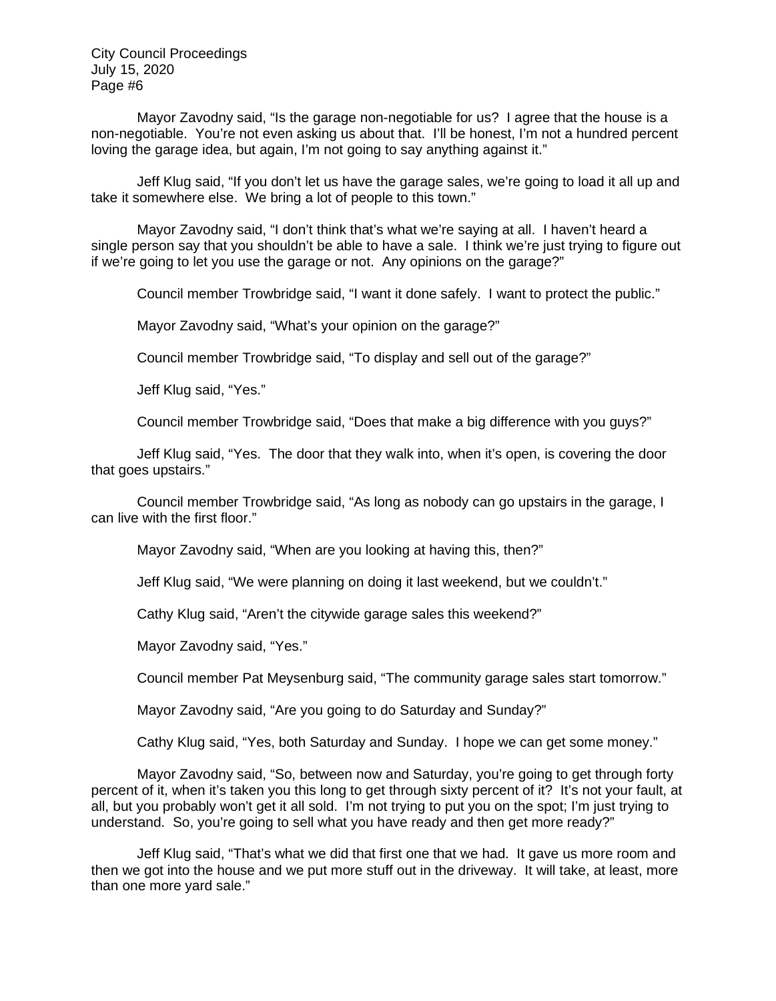Mayor Zavodny said, "Is the garage non-negotiable for us? I agree that the house is a non-negotiable. You're not even asking us about that. I'll be honest, I'm not a hundred percent loving the garage idea, but again, I'm not going to say anything against it."

Jeff Klug said, "If you don't let us have the garage sales, we're going to load it all up and take it somewhere else. We bring a lot of people to this town."

Mayor Zavodny said, "I don't think that's what we're saying at all. I haven't heard a single person say that you shouldn't be able to have a sale. I think we're just trying to figure out if we're going to let you use the garage or not. Any opinions on the garage?"

Council member Trowbridge said, "I want it done safely. I want to protect the public."

Mayor Zavodny said, "What's your opinion on the garage?"

Council member Trowbridge said, "To display and sell out of the garage?"

Jeff Klug said, "Yes."

Council member Trowbridge said, "Does that make a big difference with you guys?"

Jeff Klug said, "Yes. The door that they walk into, when it's open, is covering the door that goes upstairs."

Council member Trowbridge said, "As long as nobody can go upstairs in the garage, I can live with the first floor."

Mayor Zavodny said, "When are you looking at having this, then?"

Jeff Klug said, "We were planning on doing it last weekend, but we couldn't."

Cathy Klug said, "Aren't the citywide garage sales this weekend?"

Mayor Zavodny said, "Yes."

Council member Pat Meysenburg said, "The community garage sales start tomorrow."

Mayor Zavodny said, "Are you going to do Saturday and Sunday?"

Cathy Klug said, "Yes, both Saturday and Sunday. I hope we can get some money."

Mayor Zavodny said, "So, between now and Saturday, you're going to get through forty percent of it, when it's taken you this long to get through sixty percent of it? It's not your fault, at all, but you probably won't get it all sold. I'm not trying to put you on the spot; I'm just trying to understand. So, you're going to sell what you have ready and then get more ready?"

Jeff Klug said, "That's what we did that first one that we had. It gave us more room and then we got into the house and we put more stuff out in the driveway. It will take, at least, more than one more yard sale."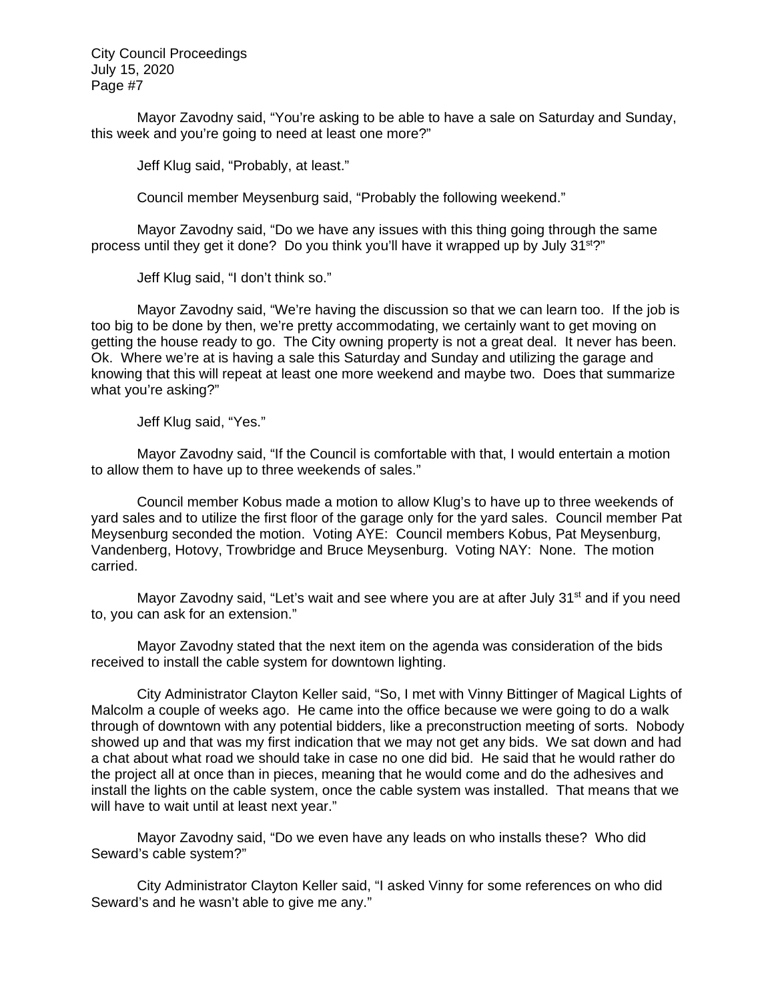Mayor Zavodny said, "You're asking to be able to have a sale on Saturday and Sunday, this week and you're going to need at least one more?"

Jeff Klug said, "Probably, at least."

Council member Meysenburg said, "Probably the following weekend."

Mayor Zavodny said, "Do we have any issues with this thing going through the same process until they get it done? Do you think you'll have it wrapped up by July 31<sup>st?"</sup>

Jeff Klug said, "I don't think so."

Mayor Zavodny said, "We're having the discussion so that we can learn too. If the job is too big to be done by then, we're pretty accommodating, we certainly want to get moving on getting the house ready to go. The City owning property is not a great deal. It never has been. Ok. Where we're at is having a sale this Saturday and Sunday and utilizing the garage and knowing that this will repeat at least one more weekend and maybe two. Does that summarize what you're asking?"

Jeff Klug said, "Yes."

Mayor Zavodny said, "If the Council is comfortable with that, I would entertain a motion to allow them to have up to three weekends of sales."

Council member Kobus made a motion to allow Klug's to have up to three weekends of yard sales and to utilize the first floor of the garage only for the yard sales. Council member Pat Meysenburg seconded the motion. Voting AYE: Council members Kobus, Pat Meysenburg, Vandenberg, Hotovy, Trowbridge and Bruce Meysenburg. Voting NAY: None. The motion carried.

Mayor Zavodny said, "Let's wait and see where you are at after July  $31<sup>st</sup>$  and if you need to, you can ask for an extension."

Mayor Zavodny stated that the next item on the agenda was consideration of the bids received to install the cable system for downtown lighting.

City Administrator Clayton Keller said, "So, I met with Vinny Bittinger of Magical Lights of Malcolm a couple of weeks ago. He came into the office because we were going to do a walk through of downtown with any potential bidders, like a preconstruction meeting of sorts. Nobody showed up and that was my first indication that we may not get any bids. We sat down and had a chat about what road we should take in case no one did bid. He said that he would rather do the project all at once than in pieces, meaning that he would come and do the adhesives and install the lights on the cable system, once the cable system was installed. That means that we will have to wait until at least next year."

Mayor Zavodny said, "Do we even have any leads on who installs these? Who did Seward's cable system?"

City Administrator Clayton Keller said, "I asked Vinny for some references on who did Seward's and he wasn't able to give me any."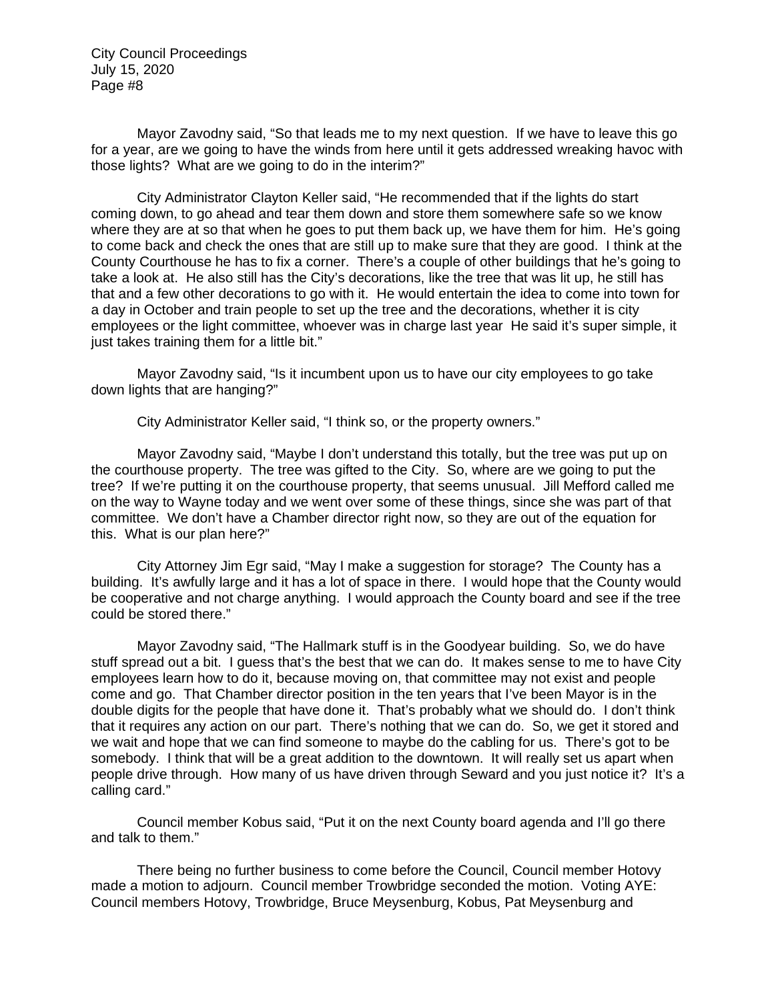Mayor Zavodny said, "So that leads me to my next question. If we have to leave this go for a year, are we going to have the winds from here until it gets addressed wreaking havoc with those lights? What are we going to do in the interim?"

City Administrator Clayton Keller said, "He recommended that if the lights do start coming down, to go ahead and tear them down and store them somewhere safe so we know where they are at so that when he goes to put them back up, we have them for him. He's going to come back and check the ones that are still up to make sure that they are good. I think at the County Courthouse he has to fix a corner. There's a couple of other buildings that he's going to take a look at. He also still has the City's decorations, like the tree that was lit up, he still has that and a few other decorations to go with it. He would entertain the idea to come into town for a day in October and train people to set up the tree and the decorations, whether it is city employees or the light committee, whoever was in charge last year He said it's super simple, it just takes training them for a little bit."

Mayor Zavodny said, "Is it incumbent upon us to have our city employees to go take down lights that are hanging?"

City Administrator Keller said, "I think so, or the property owners."

Mayor Zavodny said, "Maybe I don't understand this totally, but the tree was put up on the courthouse property. The tree was gifted to the City. So, where are we going to put the tree? If we're putting it on the courthouse property, that seems unusual. Jill Mefford called me on the way to Wayne today and we went over some of these things, since she was part of that committee. We don't have a Chamber director right now, so they are out of the equation for this. What is our plan here?"

City Attorney Jim Egr said, "May I make a suggestion for storage? The County has a building. It's awfully large and it has a lot of space in there. I would hope that the County would be cooperative and not charge anything. I would approach the County board and see if the tree could be stored there."

Mayor Zavodny said, "The Hallmark stuff is in the Goodyear building. So, we do have stuff spread out a bit. I guess that's the best that we can do. It makes sense to me to have City employees learn how to do it, because moving on, that committee may not exist and people come and go. That Chamber director position in the ten years that I've been Mayor is in the double digits for the people that have done it. That's probably what we should do. I don't think that it requires any action on our part. There's nothing that we can do. So, we get it stored and we wait and hope that we can find someone to maybe do the cabling for us. There's got to be somebody. I think that will be a great addition to the downtown. It will really set us apart when people drive through. How many of us have driven through Seward and you just notice it? It's a calling card."

Council member Kobus said, "Put it on the next County board agenda and I'll go there and talk to them."

There being no further business to come before the Council, Council member Hotovy made a motion to adjourn. Council member Trowbridge seconded the motion. Voting AYE: Council members Hotovy, Trowbridge, Bruce Meysenburg, Kobus, Pat Meysenburg and